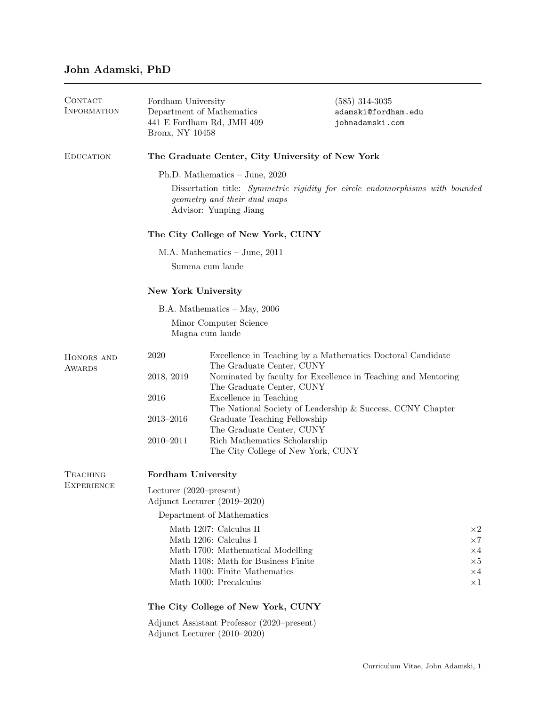## John Adamski, PhD

| CONTACT<br><b>INFORMATION</b> | Fordham University<br>Bronx, NY 10458                                                                                                  | Department of Mathematics<br>441 E Fordham Rd, JMH 409             | $(585)$ 314-3035<br>adamski@fordham.edu<br>johnadamski.com    |  |  |
|-------------------------------|----------------------------------------------------------------------------------------------------------------------------------------|--------------------------------------------------------------------|---------------------------------------------------------------|--|--|
| <b>EDUCATION</b>              | The Graduate Center, City University of New York                                                                                       |                                                                    |                                                               |  |  |
|                               | Ph.D. Mathematics $-$ June, 2020                                                                                                       |                                                                    |                                                               |  |  |
|                               | Dissertation title: Symmetric rigidity for circle endomorphisms with bounded<br>geometry and their dual maps<br>Advisor: Yunping Jiang |                                                                    |                                                               |  |  |
|                               | The City College of New York, CUNY                                                                                                     |                                                                    |                                                               |  |  |
|                               | M.A. Mathematics $-$ June, 2011                                                                                                        |                                                                    |                                                               |  |  |
|                               | Summa cum laude                                                                                                                        |                                                                    |                                                               |  |  |
|                               | New York University                                                                                                                    |                                                                    |                                                               |  |  |
|                               | $B.A.$ Mathematics $-$ May, 2006                                                                                                       |                                                                    |                                                               |  |  |
|                               | Minor Computer Science<br>Magna cum laude                                                                                              |                                                                    |                                                               |  |  |
| HONORS AND<br>AWARDS          | 2020                                                                                                                                   | The Graduate Center, CUNY                                          | Excellence in Teaching by a Mathematics Doctoral Candidate    |  |  |
|                               | 2018, 2019                                                                                                                             |                                                                    | Nominated by faculty for Excellence in Teaching and Mentoring |  |  |
|                               | 2016                                                                                                                                   | The Graduate Center, CUNY<br>Excellence in Teaching                |                                                               |  |  |
|                               |                                                                                                                                        |                                                                    | The National Society of Leadership & Success, CCNY Chapter    |  |  |
|                               | $2013 - 2016$                                                                                                                          | Graduate Teaching Fellowship<br>The Graduate Center, CUNY          |                                                               |  |  |
|                               | $2010 - 2011$                                                                                                                          | Rich Mathematics Scholarship<br>The City College of New York, CUNY |                                                               |  |  |
| TEACHING<br><b>EXPERIENCE</b> | Fordham University                                                                                                                     |                                                                    |                                                               |  |  |
|                               | Lecturer $(2020$ -present)<br>Adjunct Lecturer (2019–2020)                                                                             |                                                                    |                                                               |  |  |
|                               | Department of Mathematics                                                                                                              |                                                                    |                                                               |  |  |
|                               | Math 1207: Calculus II<br>$\times 2$                                                                                                   |                                                                    |                                                               |  |  |
|                               | Math 1206: Calculus I<br>$\times 7$<br>Math 1700: Mathematical Modelling<br>$\times 4$                                                 |                                                                    |                                                               |  |  |
|                               | Math 1108: Math for Business Finite<br>$\times 5$                                                                                      |                                                                    |                                                               |  |  |
|                               | Math 1100: Finite Mathematics<br>$\times 4$<br>Math 1000: Precalculus<br>$\times 1$                                                    |                                                                    |                                                               |  |  |
|                               | The City College of New York, CUNY                                                                                                     |                                                                    |                                                               |  |  |
|                               | Adjunct Assistant Professor (2020–present)<br>Adjunct Lecturer (2010–2020)                                                             |                                                                    |                                                               |  |  |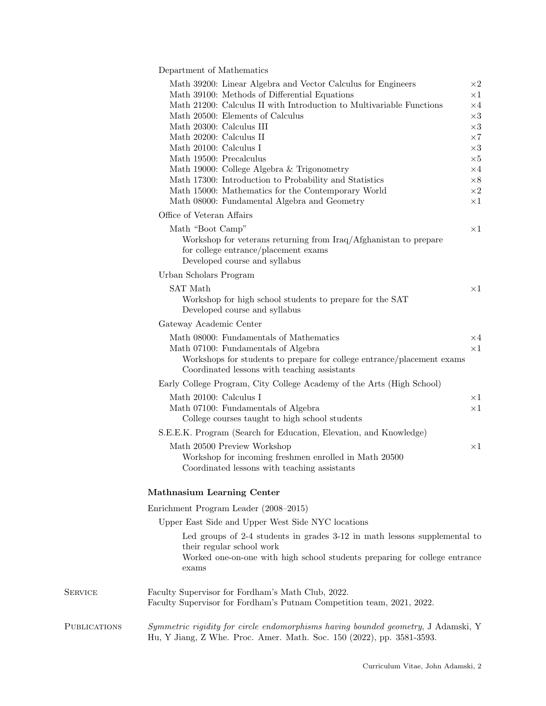Department of Mathematics

 ${\rm SFRVICE}$ 

|                | Math 39200: Linear Algebra and Vector Calculus for Engineers                                                                                               | $\times 2$               |  |  |  |
|----------------|------------------------------------------------------------------------------------------------------------------------------------------------------------|--------------------------|--|--|--|
|                | Math 39100: Methods of Differential Equations                                                                                                              | $\times 1$               |  |  |  |
|                | Math 21200: Calculus II with Introduction to Multivariable Functions                                                                                       | $\times 4$               |  |  |  |
|                | Math 20500: Elements of Calculus                                                                                                                           | $\times 3$               |  |  |  |
|                | Math 20300: Calculus III                                                                                                                                   | $\times 3$               |  |  |  |
|                | Math 20200: Calculus II<br>Math 20100: Calculus I                                                                                                          | $\times 7$<br>$\times 3$ |  |  |  |
|                | Math 19500: Precalculus                                                                                                                                    | $\times 5$               |  |  |  |
|                | Math 19000: College Algebra & Trigonometry                                                                                                                 | $\times 4$               |  |  |  |
|                | Math 17300: Introduction to Probability and Statistics                                                                                                     | $\times 8$               |  |  |  |
|                | Math 15000: Mathematics for the Contemporary World                                                                                                         | $\times 2$               |  |  |  |
|                | Math 08000: Fundamental Algebra and Geometry                                                                                                               | $\times 1$               |  |  |  |
|                | Office of Veteran Affairs                                                                                                                                  |                          |  |  |  |
|                |                                                                                                                                                            |                          |  |  |  |
|                | Math "Boot Camp"                                                                                                                                           | $\times 1$               |  |  |  |
|                | Workshop for veterans returning from Iraq/Afghanistan to prepare<br>for college entrance/placement exams<br>Developed course and syllabus                  |                          |  |  |  |
|                | Urban Scholars Program                                                                                                                                     |                          |  |  |  |
|                | <b>SAT Math</b>                                                                                                                                            | $\times 1$               |  |  |  |
|                | Workshop for high school students to prepare for the SAT                                                                                                   |                          |  |  |  |
|                | Developed course and syllabus                                                                                                                              |                          |  |  |  |
|                | Gateway Academic Center                                                                                                                                    |                          |  |  |  |
|                | Math 08000: Fundamentals of Mathematics                                                                                                                    | $\times 4$               |  |  |  |
|                | Math 07100: Fundamentals of Algebra                                                                                                                        | $\times 1$               |  |  |  |
|                | Workshops for students to prepare for college entrance/placement exams<br>Coordinated lessons with teaching assistants                                     |                          |  |  |  |
|                | Early College Program, City College Academy of the Arts (High School)                                                                                      |                          |  |  |  |
|                | Math 20100: Calculus I                                                                                                                                     | $\times 1$               |  |  |  |
|                | Math 07100: Fundamentals of Algebra                                                                                                                        | $\times 1$               |  |  |  |
|                | College courses taught to high school students                                                                                                             |                          |  |  |  |
|                | S.E.E.K. Program (Search for Education, Elevation, and Knowledge)                                                                                          |                          |  |  |  |
|                | Math 20500 Preview Workshop                                                                                                                                | $\times 1$               |  |  |  |
|                | Workshop for incoming freshmen enrolled in Math 20500                                                                                                      |                          |  |  |  |
|                | Coordinated lessons with teaching assistants                                                                                                               |                          |  |  |  |
|                | <b>Mathnasium Learning Center</b>                                                                                                                          |                          |  |  |  |
|                | Enrichment Program Leader (2008–2015)                                                                                                                      |                          |  |  |  |
|                | Upper East Side and Upper West Side NYC locations                                                                                                          |                          |  |  |  |
|                | Led groups of 2-4 students in grades 3-12 in math lessons supplemental to                                                                                  |                          |  |  |  |
|                | their regular school work                                                                                                                                  |                          |  |  |  |
|                | Worked one-on-one with high school students preparing for college entrance<br>exams                                                                        |                          |  |  |  |
| <b>SERVICE</b> | Faculty Supervisor for Fordham's Math Club, 2022.<br>Faculty Supervisor for Fordham's Putnam Competition team, 2021, 2022.                                 |                          |  |  |  |
| PUBLICATIONS   | Symmetric rigidity for circle endomorphisms having bounded geometry, J Adamski, Y<br>Hu, Y Jiang, Z Whe. Proc. Amer. Math. Soc. 150 (2022), pp. 3581-3593. |                          |  |  |  |